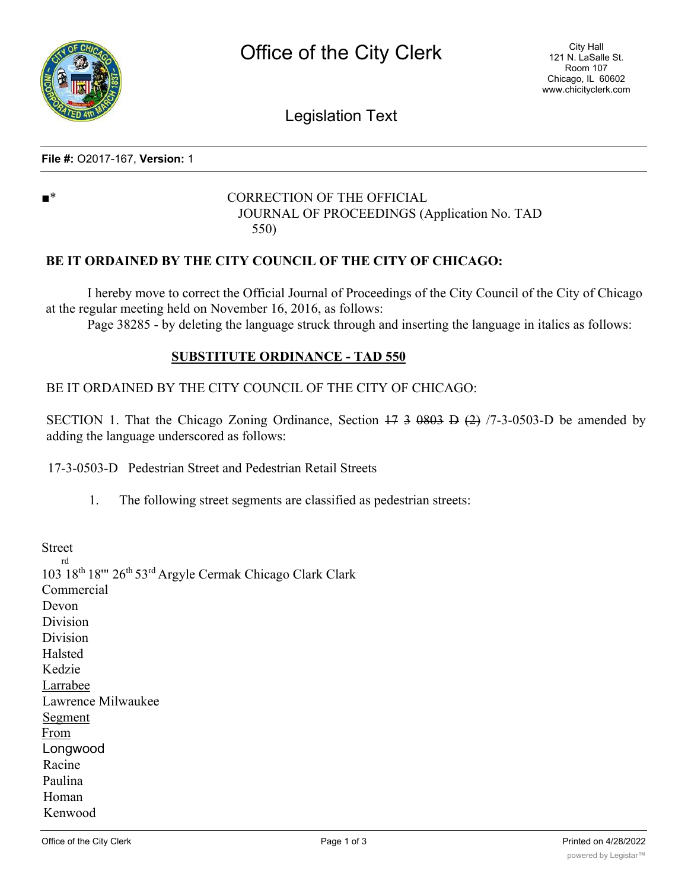

Legislation Text

### **File #:** O2017-167, **Version:** 1

# ■<sup>\*</sup> CORRECTION OF THE OFFICIAL JOURNAL OF PROCEEDINGS (Application No. TAD 550)

# **BE IT ORDAINED BY THE CITY COUNCIL OF THE CITY OF CHICAGO:**

I hereby move to correct the Official Journal of Proceedings of the City Council of the City of Chicago at the regular meeting held on November 16, 2016, as follows:

Page 38285 - by deleting the language struck through and inserting the language in italics as follows:

### **SUBSTITUTE ORDINANCE - TAD 550**

# BE IT ORDAINED BY THE CITY COUNCIL OF THE CITY OF CHICAGO:

SECTION 1. That the Chicago Zoning Ordinance, Section  $17 \frac{3}{5}$   $0.03 \frac{1}{5}$   $(2)$   $(7\frac{3}{5} \cdot 0.03 \cdot 5)$  be amended by adding the language underscored as follows:

17-3-0503-D Pedestrian Street and Pedestrian Retail Streets

1. The following street segments are classified as pedestrian streets:

Street rd 103 18th 18'" 26th 53rd Argyle Cermak Chicago Clark Clark Commercial Devon Division Division Halsted Kedzie Larrabee Lawrence Milwaukee Segment From Longwood Racine Paulina Homan Kenwood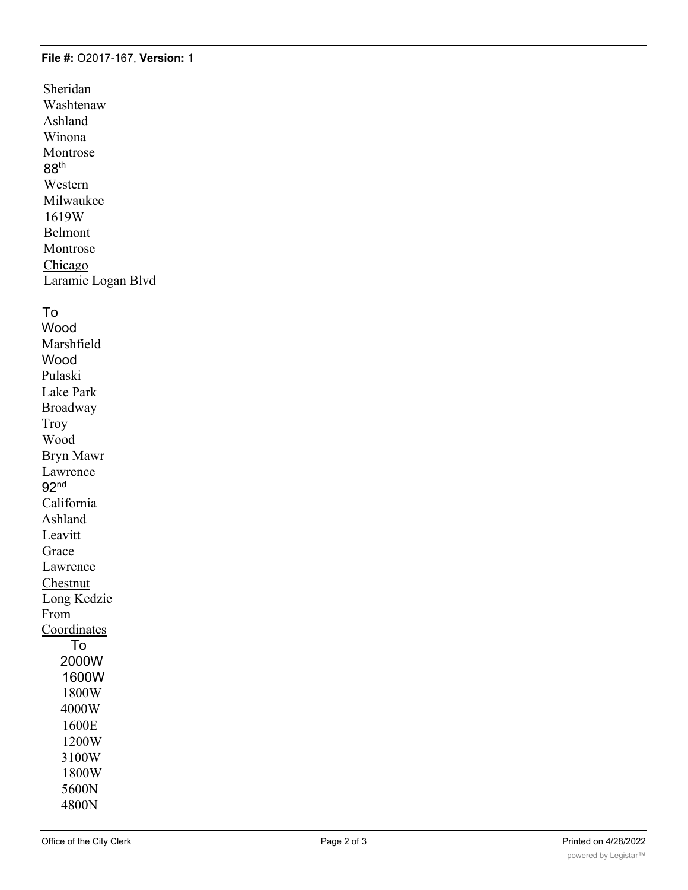#### **File #:** O2017-167, **Version:** 1

Sheridan Washtenaw Ashland Winona Montrose 88th Western Milwaukee 1619W Belmont Montrose Chicago Laramie Logan Blvd

### To

Wood Marshfield Wood Pulaski Lake Park Broadway Troy Wood Bryn Mawr Lawrence 92nd California Ashland Leavitt Grace Lawrence **Chestnut** Long Kedzie From **Coordinates** To 2000W 1600W 1800W 4000W 1600E 1200W 3100W 1800W 5600N 4800N